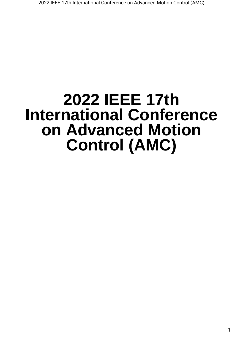# **2022 IEEE 17th International Conference on Advanced Motion Control (AMC)**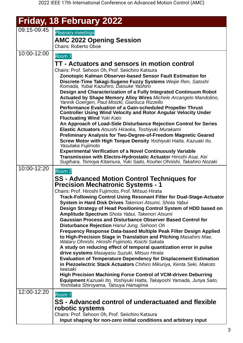|             | Friday, 18 February 2022                                                                                                                                                   |
|-------------|----------------------------------------------------------------------------------------------------------------------------------------------------------------------------|
| 09:15-09:45 | <b>Pleanary meetings</b>                                                                                                                                                   |
|             | <b>AMC 2022 Opening Session</b><br><b>Chairs: Roberto Oboe</b>                                                                                                             |
| 10:00-12:00 | Room 1                                                                                                                                                                     |
|             | TT - Actuators and sensors in motion control                                                                                                                               |
|             | Chairs: Prof. Sehoon Oh, Prof. Seiichiro Katsura                                                                                                                           |
|             | Zonotopic Kalman Observer-based Sensor Fault Estimation for<br>Discrete-Time Takagi-Sugeno Fuzzy Systems Weijie Ren, Satoshi<br>Komada, Yubai Kazuhiro, Daisuke Yashiro    |
|             | Design and Characterization of a Fully Integrated Continuum Robot                                                                                                          |
|             | Actuated by Shape Memory Alloy Wires Michele Arcangelo Mandolino,<br>Yannik Goergen, Paul Motzki, Gianluca Rizzello                                                        |
|             | Performance Evaluation of a Gain-scheduled Propeller Thrust<br><b>Controller Using Wind Velocity and Rotor Angular Velocity Under</b><br><b>Fluctuating Wind Yuki Kato</b> |
|             | An Approach of Load-Side Disturbance Rejection Control for Series                                                                                                          |
|             | Elastic Actuators Atsushi Hiraoka, Toshiyuki Murakami                                                                                                                      |
|             | <b>Preliminary Analysis for Two-Degree-of-Freedom Magnetic Geared</b>                                                                                                      |
|             | Screw Motor with High Torque Density Yoshiyuki Hatta, Kazuaki Ito,<br>Yasutaka Fujimoto                                                                                    |
|             | <b>Experimental Verification of a Novel Continuously Variable</b>                                                                                                          |
|             | Transmission with Electro-Hydrostatic Actuator Hiroshi Asai, Kei<br>Sugihara, Tomoya Kitamura, Yuki Saito, Kouhei Ohnishi, Takahiro Nozaki                                 |
| 10:00-12:20 | Room 2                                                                                                                                                                     |
|             | <b>SS - Advanced Motion Control Techniques for</b>                                                                                                                         |
|             | <b>Precision Mechatronic Systems - 1</b>                                                                                                                                   |
|             | Chairs: Prof. Hiroshi Fujimoto, Prof. Mitsuo Hirata                                                                                                                        |
|             | <b>Track-Following Control Using Resonant Filter for Dual-Stage-Actuator</b>                                                                                               |
|             | System in Hard Disk Drives Takenori Atsumi, Shota Yabui                                                                                                                    |
|             | Design Strategy of Head Positioning Control System of HDD based on                                                                                                         |
|             | Amplitude Spectrum Shota Yabui, Takenori Atsumi<br><b>Gaussian Process and Disturbance Observer Based Control for</b>                                                      |
|             | Disturbance Rejection Hanul Jung, Sehoon Oh                                                                                                                                |
|             | Frequency Response Data-based Multiple Peak Filter Design Applied                                                                                                          |
|             | to High-Precision Stage in Translation and Pitching Masahiro Mae,<br>Wataru Ohnishi, Hiroshi Fujimoto, Koichi Sakata                                                       |
|             | A study on reducing effect of temporal quantization error in pulse                                                                                                         |
|             | drive systems Masayasu Suzuki, Mitsuo Hirata                                                                                                                               |
|             | <b>Evaluation of Temperature Dependency for Displacement Estimation</b><br>in Piezoelectric Stack Actuators Chihiro Mikuriya, Kenta Seki, Makoto                           |
|             | Iwasaki                                                                                                                                                                    |
|             | <b>High Precision Machining Force Control of VCM-driven Deburring</b>                                                                                                      |
|             | Equipment Kazuaki Ito, Yoshiyuki Hatta, Takayoshi Yamada, Junya Sato,<br>Yoshitaka Shiroyama, Tatsuya Hamajima                                                             |
| 12:00-12:20 | Room 1                                                                                                                                                                     |
|             | SS - Advanced control of underactuated and flexible                                                                                                                        |
|             | robotic systems                                                                                                                                                            |
|             | Chairs: Prof. Sehoon Oh, Prof. Seiichiro Katsura                                                                                                                           |
|             | Input shaping for non-zero initial conditions and arbitrary input                                                                                                          |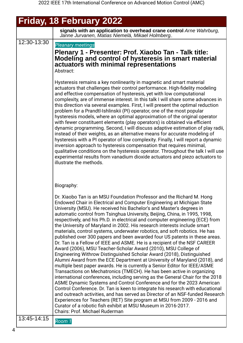|             | <b>Friday, 18 February 2022</b>                                                                                                                                                                                                                                                                                                                                                                                                                                                                                                                                                                                                                                                                                                                                                                                                                                                                                                                                                                                                                                                                                                                                                                                                                                                                                                                                                                                                                                                                                                                                                                                |
|-------------|----------------------------------------------------------------------------------------------------------------------------------------------------------------------------------------------------------------------------------------------------------------------------------------------------------------------------------------------------------------------------------------------------------------------------------------------------------------------------------------------------------------------------------------------------------------------------------------------------------------------------------------------------------------------------------------------------------------------------------------------------------------------------------------------------------------------------------------------------------------------------------------------------------------------------------------------------------------------------------------------------------------------------------------------------------------------------------------------------------------------------------------------------------------------------------------------------------------------------------------------------------------------------------------------------------------------------------------------------------------------------------------------------------------------------------------------------------------------------------------------------------------------------------------------------------------------------------------------------------------|
|             | signals with an application to overhead crane control Arne Wahrburg,<br>Janne Jurvanen, Matias Niemelä, Mikael Holmberg                                                                                                                                                                                                                                                                                                                                                                                                                                                                                                                                                                                                                                                                                                                                                                                                                                                                                                                                                                                                                                                                                                                                                                                                                                                                                                                                                                                                                                                                                        |
| 12:30-13:30 | <b>Pleanary meetings</b><br>Plenary 1 - Presenter: Prof. Xiaobo Tan - Talk title:<br>Modeling and control of hysteresis in smart material<br>actuators with minimal representations<br>Abstract:                                                                                                                                                                                                                                                                                                                                                                                                                                                                                                                                                                                                                                                                                                                                                                                                                                                                                                                                                                                                                                                                                                                                                                                                                                                                                                                                                                                                               |
|             | Hysteresis remains a key nonlinearity in magnetic and smart material<br>actuators that challenges their control performance. High-fidelity modeling<br>and effective compensation of hysteresis, yet with low computational<br>complexity, are of immense interest. In this talk I will share some advances in<br>this direction via several examples. First, I will present the optimal reduction<br>problem for a Prandtl-Ishlinskii (PI) operator, one of the most popular<br>hysteresis models, where an optimal approximation of the original operator<br>with fewer constituent elements (play operators) is obtained via efficient<br>dynamic programming. Second, I will discuss adaptive estimation of play radii,<br>instead of their weights, as an alternative means for accurate modeling of<br>hysteresis with a PI operator of low complexity. Finally, I will report a dynamic<br>inversion approach to hysteresis compensation that requires minimal,<br>qualitative conditions on the hysteresis operator. Throughout the talk I will use<br>experimental results from vanadium dioxide actuators and piezo actuators to<br>illustrate the methods.                                                                                                                                                                                                                                                                                                                                                                                                                                          |
|             | Biography:                                                                                                                                                                                                                                                                                                                                                                                                                                                                                                                                                                                                                                                                                                                                                                                                                                                                                                                                                                                                                                                                                                                                                                                                                                                                                                                                                                                                                                                                                                                                                                                                     |
|             | Dr. Xiaobo Tan is an MSU Foundation Professor and the Richard M. Hong<br>Endowed Chair in Electrical and Computer Engineering at Michigan State<br>University (MSU). He received his Bachelor's and Master's degrees in<br>automatic control from Tsinghua University, Beijing, China, in 1995, 1998,<br>respectively, and his Ph.D. in electrical and computer engineering (ECE) from<br>the University of Maryland in 2002. His research interests include smart<br>materials, control systems, underwater robotics, and soft robotics. He has<br>published over 300 papers and been awarded four US patents in these areas.<br>Dr. Tan is a Fellow of IEEE and ASME. He is a recipient of the NSF CAREER<br>Award (2006), MSU Teacher-Scholar Award (2010), MSU College of<br>Engineering Withrow Distinguished Scholar Award (2018), Distinguished<br>Alumni Award from the ECE Department at University of Maryland (2018), and<br>multiple best paper awards. He is currently a Senior Editor for IEEE/ASME<br>Transactions on Mechatronics (TMECH). He has been active in organizing<br>international conferences, including serving as the General Chair for the 2018<br>ASME Dynamic Systems and Control Conference and for the 2023 American<br>Control Conference. Dr. Tan is keen to integrate his research with educational<br>and outreach activities, and has served as Director of an NSF-funded Research<br>Experiences for Teachers (RET) Site program at MSU from 2009 - 2016 and<br>Curator of a robotic fish exhibit at MSU Museum in 2016-2017.<br><b>Chairs: Prof. Michael Ruderman</b> |
| 13:45-14:15 | Room 1                                                                                                                                                                                                                                                                                                                                                                                                                                                                                                                                                                                                                                                                                                                                                                                                                                                                                                                                                                                                                                                                                                                                                                                                                                                                                                                                                                                                                                                                                                                                                                                                         |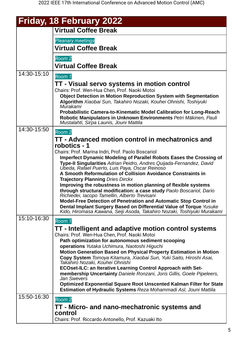|             | <b>Friday, 18 February 2022</b>                                                                                                                 |
|-------------|-------------------------------------------------------------------------------------------------------------------------------------------------|
|             | <b>Virtual Coffee Break</b>                                                                                                                     |
|             | <b>Pleanary meetings</b>                                                                                                                        |
|             | <b>Virtual Coffee Break</b>                                                                                                                     |
|             | Room 2                                                                                                                                          |
|             | <b>Virtual Coffee Break</b>                                                                                                                     |
| 14:30-15:10 | Room 1                                                                                                                                          |
|             | TT - Visual servo systems in motion control                                                                                                     |
|             | Chairs: Prof. Wen-Hua Chen, Prof. Naoki Motoi<br><b>Object Detection in Motion Reproduction System with Segmentation</b>                        |
|             | Algorithm Xiaobai Sun, Takahiro Nozaki, Kouhei Ohnishi, Toshiyuki                                                                               |
|             | Murakami                                                                                                                                        |
|             | <b>Probabilistic Camera-to-Kinematic Model Calibration for Long-Reach</b><br>Robotic Manipulators in Unknown Environments Petri Mäkinen, Pauli  |
| 14:30-15:50 | Mustalahti, Sirpa Launis, Jouni Mattila                                                                                                         |
|             | Room 2                                                                                                                                          |
|             | TT - Advanced motion control in mechatronics and<br>robotics - 1                                                                                |
|             | Chairs: Prof. Marina Indri, Prof. Paolo Boscariol                                                                                               |
|             | Imperfect Dynamic Modeling of Parallel Robots Eases the Crossing of                                                                             |
|             | Type-II Singularities Adrian Peidro, Andres Quijada-Fernandez, David<br>Ubeda, Rafael Puerto, Luis Paya, Oscar Reinoso                          |
|             | A Smooth Reformulation of Collision Avoidance Constraints in                                                                                    |
|             | <b>Trajectory Planning Dries Dirckx</b>                                                                                                         |
|             | Improving the robustness in motion planning of flexible systems<br>through structural modification: a case study Paolo Boscariol, Dario         |
|             | Richiedei, Iacopo Tamellin, Alberto Trevisani                                                                                                   |
|             | <b>Model-Free Detection of Penetration and Automatic Stop Control in</b>                                                                        |
|             | Dental Implant Surgery Based on Differential Value of Torque Yusuke<br>Kido, Hiromasa Kawana, Seiji Asoda, Takahiro Nozaki, Toshiyuki Murakami  |
| 15:10-16:30 | Room 1                                                                                                                                          |
|             | TT - Intelligent and adaptive motion control systems                                                                                            |
|             | Chairs: Prof. Wen-Hua Chen, Prof. Naoki Motoi                                                                                                   |
|             | Path optimization for autonomous sediment scooping                                                                                              |
|             | operations Yutaka Uchimura, Naotoshi Higuchi<br><b>Motion Generation Based on Physical Property Estimation in Motion</b>                        |
|             | Copy System Tomoya Kitamura, Xiaobai Sun, Yuki Saito, Hiroshi Asai,                                                                             |
|             | Takahiro Nozaki, Kouhei Ohnishi                                                                                                                 |
|             | <b>ECOset-ILC: an Iterative Learning Control Approach with Set-</b><br>membership Uncertainty Daniele Ronzani, Joris Gillis, Goele Pipeleers,   |
|             | Jan Swevers                                                                                                                                     |
|             | <b>Optimized Exponential Square Root Unscented Kalman Filter for State</b><br>Estimation of Hydraulic Systems Reza Mohammadi Asl, Jouni Mattila |
| 15:50-16:30 | Room 2                                                                                                                                          |
|             | TT - Micro- and nano-mechatronic systems and                                                                                                    |
|             | control                                                                                                                                         |
|             | Chairs: Prof. Riccardo Antonello, Prof. Kazuaki Ito                                                                                             |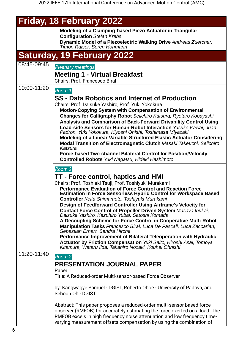|             | Friday, 18 February 2022                                                                                                                                                                                                                                                                                                                                                                                                                                                                                                                                                                                                                                                                                                                                                                                                                                                                      |
|-------------|-----------------------------------------------------------------------------------------------------------------------------------------------------------------------------------------------------------------------------------------------------------------------------------------------------------------------------------------------------------------------------------------------------------------------------------------------------------------------------------------------------------------------------------------------------------------------------------------------------------------------------------------------------------------------------------------------------------------------------------------------------------------------------------------------------------------------------------------------------------------------------------------------|
|             | Modeling of a Clamping-based Piezo Actuator in Triangular<br><b>Configuration Stefan Krebs</b><br>Dynamic Model of a Piezoelectric Walking Drive Andreas Zuercher,<br>Timon Raiser, Sören Hohmann                                                                                                                                                                                                                                                                                                                                                                                                                                                                                                                                                                                                                                                                                             |
|             | <b>Saturday, 19 February 2022</b>                                                                                                                                                                                                                                                                                                                                                                                                                                                                                                                                                                                                                                                                                                                                                                                                                                                             |
| 08:45-09:45 | <b>Pleanary meetings</b><br><b>Meeting 1 - Virtual Breakfast</b><br><b>Chairs: Prof. Francesco Biral</b>                                                                                                                                                                                                                                                                                                                                                                                                                                                                                                                                                                                                                                                                                                                                                                                      |
| 10:00-11:20 | Room 1<br><b>SS</b> - Data Robotics and Internet of Production<br>Chairs: Prof. Daisuke Yashiro, Prof. Yuki Yokokura<br><b>Motion-Copying System with Compensation of Environmental</b><br>Changes for Calligraphy Robot Seiichiro Katsura, Ryotaro Kobayashi<br>Analysis and Comparison of Back-Forward Drivability Control Using<br>Load-side Sensors for Human-Robot Interaction Yusuke Kawai, Juan<br>Padron, Yuki Yokokura, Kiyoshi Ohishi, Toshimasa Miyazaki<br>Modeling of a Linear Variable Structured Elastic Actuator Considering<br>Modal Transition of Electromagnetic Clutch Masaki Takeuchi, Seiichiro<br>Katsura<br><b>Force-based Two-channel Bilateral Control for Position/Velocity</b><br><b>Controlled Robots Yuki Nagatsu, Hideki Hashimoto</b>                                                                                                                         |
|             | Room 2<br>TT - Force control, haptics and HMI<br>Chairs: Prof. Toshiaki Tsuji, Prof. Toshiyuki Murakami<br><b>Performance Evaluation of Force Control and Reaction Force</b><br><b>Estimation in Force Sensorless Hybrid Control for Workspace Based</b><br>Controller Keita Shimamoto, Toshiyuki Murakami<br>Design of Feedforward Controller Using Airframe's Velocity for<br>Contact Force Control of Propeller Driven System Masaya Inukai,<br>Daisuke Yashiro, Kazuhiro Yubai, Satoshi Komada<br>A Decoupling Scheme for Force Control in Cooperative Multi-Robot<br>Manipulation Tasks Francesco Biral, Luca De Pascali, Luca Zaccarian,<br>Sebastian Erhart, Sandra Hirche<br>Performance Improvement of Bilateral Teleoperation with Hydraulic<br><b>Actuator by Friction Compensation Yuki Saito, Hiroshi Asai, Tomoya</b><br>Kitamura, Wataru lida, Takahiro Nozaki, Kouhei Ohnishi |
| 11:20-11:40 | Room 2<br><b>PRESENTATION JOURNAL PAPER</b><br>Paper 1<br>Title: A Reduced-order Multi-sensor-based Force Observer<br>by: Kangwagye Samuel - DGIST, Roberto Oboe - University of Padova, and<br>Sehoon Oh - DGIST<br>Abstract: This paper proposes a reduced-order multi-sensor based force<br>observer (RMFOB) for accurately estimating the force exerted on a load. The<br>RMFOB excels in high frequency noise attenuation and low frequency time-<br>varying measurement offsets compensation by using the combination of                                                                                                                                                                                                                                                                                                                                                                |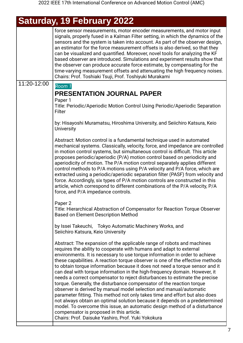## **Saturday, 19 February 2022**

|             | force sensor measurements, motor encoder measurements, and motor input<br>signals, properly fused in a Kalman Filter setting, in which the dynamics of the<br>sensors and the system is taken into account. As part of the observer design,<br>an estimator for the force measurement offsets is also derived, so that they<br>can be visualized and quantified. Moreover, novel tools for analyzing the KF<br>based observer are introduced. Simulations and experiment results show that<br>the observer can produce accurate force estimate, by compensating for the<br>time-varying measurement offsets and attenuating the high frequency noises.<br>Chairs: Prof. Toshiaki Tsuji, Prof. Toshiyuki Murakami                                                                                                                                                                                                                                                                                                                                        |
|-------------|---------------------------------------------------------------------------------------------------------------------------------------------------------------------------------------------------------------------------------------------------------------------------------------------------------------------------------------------------------------------------------------------------------------------------------------------------------------------------------------------------------------------------------------------------------------------------------------------------------------------------------------------------------------------------------------------------------------------------------------------------------------------------------------------------------------------------------------------------------------------------------------------------------------------------------------------------------------------------------------------------------------------------------------------------------|
| 11:20-12:00 | Room 1                                                                                                                                                                                                                                                                                                                                                                                                                                                                                                                                                                                                                                                                                                                                                                                                                                                                                                                                                                                                                                                  |
|             | PRESENTATION JOURNAL PAPER                                                                                                                                                                                                                                                                                                                                                                                                                                                                                                                                                                                                                                                                                                                                                                                                                                                                                                                                                                                                                              |
|             | Paper 1<br>Title: Periodic/Aperiodic Motion Control Using Periodic/Aperiodic Separation<br>Filter                                                                                                                                                                                                                                                                                                                                                                                                                                                                                                                                                                                                                                                                                                                                                                                                                                                                                                                                                       |
|             | by: Hisayoshi Muramatsu, Hiroshima University, and Seiichiro Katsura, Keio<br><b>University</b>                                                                                                                                                                                                                                                                                                                                                                                                                                                                                                                                                                                                                                                                                                                                                                                                                                                                                                                                                         |
|             | Abstract: Motion control is a fundamental technique used in automated<br>mechanical systems. Classically, velocity, force, and impedance are controlled<br>in motion control systems, but simultaneous control is difficult. This article<br>proposes periodic/aperiodic (P/A) motion control based on periodicity and<br>aperiodicity of motion. The P/A motion control separately applies different<br>control methods to P/A motions using P/A velocity and P/A force, which are<br>extracted using a periodic/aperiodic separation filter (PASF) from velocity and<br>force. Accordingly, six types of P/A motion controls are constructed in this<br>article, which correspond to different combinations of the P/A velocity, P/A<br>force, and P/A impedance controls.                                                                                                                                                                                                                                                                            |
|             | Paper 2<br>Title: Hierarchical Abstraction of Compensator for Reaction Torque Observer<br><b>Based on Element Description Method</b>                                                                                                                                                                                                                                                                                                                                                                                                                                                                                                                                                                                                                                                                                                                                                                                                                                                                                                                    |
|             | by Issei Takeuchi, Tokyo Automatic Machinery Works, and<br>Seiichiro Katsura, Keio University                                                                                                                                                                                                                                                                                                                                                                                                                                                                                                                                                                                                                                                                                                                                                                                                                                                                                                                                                           |
|             | Abstract: The expansion of the applicable range of robots and machines<br>requires the ability to cooperate with humans and adapt to external<br>environments. It is necessary to use torque information in order to achieve<br>these capabilities. A reaction torque observer is one of the effective methods<br>to obtain torque information because it does not need a torque sensor and it<br>can deal with torque information in the high-frequency domain. However, it<br>needs a correct compensator to reject disturbances to estimate the precise<br>torque. Generally, the disturbance compensator of the reaction torque<br>observer is derived by manual model selection and manual/automatic<br>parameter fitting. This method not only takes time and effort but also does<br>not always obtain an optimal solution because it depends on a predetermined<br>model. To overcome this issue, an automatic design method of a disturbance<br>compensator is proposed in this article.<br>Chairs: Prof. Daisuke Yashiro, Prof. Yuki Yokokura |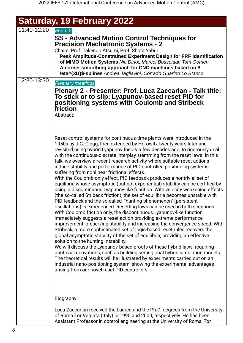| <b>Saturday, 19 February 2022</b> |                                                                                                                                                                                                                                                                                                                                                                                                                                                                                                                                                                                                                                                                                                                                                                                                                                                                                                                                                                                                                                                                                                                                                                                                                                                                                                                                                                                                                                                                                                                                                                                                                                                                                                                                                                                                                          |
|-----------------------------------|--------------------------------------------------------------------------------------------------------------------------------------------------------------------------------------------------------------------------------------------------------------------------------------------------------------------------------------------------------------------------------------------------------------------------------------------------------------------------------------------------------------------------------------------------------------------------------------------------------------------------------------------------------------------------------------------------------------------------------------------------------------------------------------------------------------------------------------------------------------------------------------------------------------------------------------------------------------------------------------------------------------------------------------------------------------------------------------------------------------------------------------------------------------------------------------------------------------------------------------------------------------------------------------------------------------------------------------------------------------------------------------------------------------------------------------------------------------------------------------------------------------------------------------------------------------------------------------------------------------------------------------------------------------------------------------------------------------------------------------------------------------------------------------------------------------------------|
| 11:40-12:20                       | Room <sub>2</sub><br><b>SS - Advanced Motion Control Techniques for</b><br><b>Precision Mechatronic Systems - 2</b><br>Chairs: Prof. Takenori Atsumi, Prof. Shota Yabui<br>Peak Amplitude-Constrained Experiment Design for FRF Identification<br>of MIMO Motion Systems Nic Dirkx, Marcel Bosselaar, Tom Oomen<br>A corner smoothing approach for CNC machines based on \$<br><b>\eta^{3D}\$-splines</b> Andrea Tagliavini, Corrado Guarino Lo Blanco                                                                                                                                                                                                                                                                                                                                                                                                                                                                                                                                                                                                                                                                                                                                                                                                                                                                                                                                                                                                                                                                                                                                                                                                                                                                                                                                                                   |
| 12:30-13:30                       | <b>Pleanary meetings</b><br>Plenary 2 - Presenter: Prof. Luca Zaccarian - Talk title:<br>To stick or to slip: Lyapunov-based reset PID for<br>positioning systems with Coulomb and Stribeck<br>friction<br>Abstract:                                                                                                                                                                                                                                                                                                                                                                                                                                                                                                                                                                                                                                                                                                                                                                                                                                                                                                                                                                                                                                                                                                                                                                                                                                                                                                                                                                                                                                                                                                                                                                                                     |
|                                   | Reset control systems for continuous-time plants were introduced in the<br>1950s by J.C. Clegg, then extended by Horowitz twenty years later and<br>revisited using hybrid Lyapunov theory a few decades ago, to rigorously deal<br>with the continuous-discrete interplay stemming from the reset laws. In this<br>talk, we overview a recent research activity where suitable reset actions<br>induce stability and performance of PID-controlled positioning systems<br>suffering from nonlinear frictional effects.<br>With the Coulomb-only effect, PID feedback produces a nontrivial set of<br>equilibria whose asymptotic (but not exponential) stability can be certified by<br>using a discontinuous Lyapunov-like function. With velocity weakening effects<br>(the so-called Stribeck friction), the set of equilibria becomes unstable with<br>PID feedback and the so-called "hunting phenomenon" (persistent<br>oscillations) is experienced. Resetting laws can be used in both scenarios.<br>With Coulomb friction only, the discontinuous Lyapunov-like function<br>immediately suggests a reset action providing extreme performance<br>improvement, preserving stability and increasing the convergence speed. With<br>Stribeck, a more sophisticated set of logic-based reset rules recovers the<br>global asymptotic stability of the set of equilibria, providing an effective<br>solution to the hunting instability.<br>We will discuss the Lyapunov-based proofs of these hybrid laws, requiring<br>nontrivial derivations, such as building semi-global hybrid simulation models.<br>The theoretical results will be illustrated by experiments carried out on an<br>industrial nano-positioning system, showing the experimental advantages<br>arising from our novel reset PID controllers. |
|                                   | Biography:                                                                                                                                                                                                                                                                                                                                                                                                                                                                                                                                                                                                                                                                                                                                                                                                                                                                                                                                                                                                                                                                                                                                                                                                                                                                                                                                                                                                                                                                                                                                                                                                                                                                                                                                                                                                               |
|                                   | Luca Zaccarian received the Laurea and the Ph.D. degrees from the University<br>of Roma Tor Vergata (Italy) in 1995 and 2000, respectively. He has been                                                                                                                                                                                                                                                                                                                                                                                                                                                                                                                                                                                                                                                                                                                                                                                                                                                                                                                                                                                                                                                                                                                                                                                                                                                                                                                                                                                                                                                                                                                                                                                                                                                                  |

Assistant Professor in control engineering at the University of Roma, Tor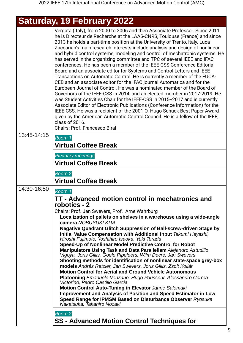## **Saturday, 19 February 2022**

|             | Vergata (Italy), from 2000 to 2006 and then Associate Professor. Since 2011<br>he is Directeur de Recherche at the LAAS-CNRS, Toulouse (France) and since<br>2013 he holds a part-time position at the University of Trento, Italy. Luca<br>Zaccarian's main research interests include analysis and design of nonlinear<br>and hybrid control systems, modeling and control of mechatronic systems. He<br>has served in the organizing committee and TPC of several IEEE and IFAC<br>conferences. He has been a member of the IEEE-CSS Conference Editorial<br>Board and an associate editor for Systems and Control Letters and IEEE<br>Transactions on Automatic Control. He is currently a member of the EUCA-<br>CEB and an associate editor for the IFAC journal Automatica and for the<br>European Journal of Control. He was a nominated member of the Board of<br>Governors of the IEEE-CSS in 2014, and an elected member in 2017-2019. He<br>was Student Activities Chair for the IEEE-CSS in 2015--2017 and is currently<br>Associate Editor of Electronic Publications (Conference Information) for the<br>IEEE-CSS. He was a recipient of the 2001 O. Hugo Schuck Best Paper Award<br>given by the American Automatic Control Council. He is a fellow of the IEEE,<br>class of 2016.<br><b>Chairs: Prof. Francesco Biral</b> |
|-------------|--------------------------------------------------------------------------------------------------------------------------------------------------------------------------------------------------------------------------------------------------------------------------------------------------------------------------------------------------------------------------------------------------------------------------------------------------------------------------------------------------------------------------------------------------------------------------------------------------------------------------------------------------------------------------------------------------------------------------------------------------------------------------------------------------------------------------------------------------------------------------------------------------------------------------------------------------------------------------------------------------------------------------------------------------------------------------------------------------------------------------------------------------------------------------------------------------------------------------------------------------------------------------------------------------------------------------------------------|
| 13:45-14:15 | Room 1<br><b>Virtual Coffee Break</b>                                                                                                                                                                                                                                                                                                                                                                                                                                                                                                                                                                                                                                                                                                                                                                                                                                                                                                                                                                                                                                                                                                                                                                                                                                                                                                      |
|             | <b>Pleanary meetings</b>                                                                                                                                                                                                                                                                                                                                                                                                                                                                                                                                                                                                                                                                                                                                                                                                                                                                                                                                                                                                                                                                                                                                                                                                                                                                                                                   |
|             | <b>Virtual Coffee Break</b>                                                                                                                                                                                                                                                                                                                                                                                                                                                                                                                                                                                                                                                                                                                                                                                                                                                                                                                                                                                                                                                                                                                                                                                                                                                                                                                |
|             | Room 2<br><b>Virtual Coffee Break</b>                                                                                                                                                                                                                                                                                                                                                                                                                                                                                                                                                                                                                                                                                                                                                                                                                                                                                                                                                                                                                                                                                                                                                                                                                                                                                                      |
| 14:30-16:50 | Room 1<br>TT - Advanced motion control in mechatronics and<br>robotics - 2                                                                                                                                                                                                                                                                                                                                                                                                                                                                                                                                                                                                                                                                                                                                                                                                                                                                                                                                                                                                                                                                                                                                                                                                                                                                 |
|             | Chairs: Prof. Jan Swevers, Prof. Arne Wahrburg<br>Localization of pallets on shelves in a warehouse using a wide-angle<br>camera NOBUYUKI KITA                                                                                                                                                                                                                                                                                                                                                                                                                                                                                                                                                                                                                                                                                                                                                                                                                                                                                                                                                                                                                                                                                                                                                                                             |
|             | <b>Negative Quadrant Glitch Suppression of Ball-screw-driven Stage by</b><br>Initial Value Compensation with Additional Input Takumi Hayashi,<br>Hiroshi Fujimoto, Yoshihiro Isaoka, Yuki Terada                                                                                                                                                                                                                                                                                                                                                                                                                                                                                                                                                                                                                                                                                                                                                                                                                                                                                                                                                                                                                                                                                                                                           |
|             | Speed-Up of Nonlinear Model Predictive Control for Robot<br>Manipulators Using Task and Data Parallelism Alejandro Astudillo<br>Vigoya, Joris Gillis, Goele Pipeleers, Wilm Decré, Jan Swevers                                                                                                                                                                                                                                                                                                                                                                                                                                                                                                                                                                                                                                                                                                                                                                                                                                                                                                                                                                                                                                                                                                                                             |
|             | Shooting methods for identification of nonlinear state-space grey-box<br>models András Retzler, Jan Swevers, Joris Gillis, Zsolt Kollár                                                                                                                                                                                                                                                                                                                                                                                                                                                                                                                                                                                                                                                                                                                                                                                                                                                                                                                                                                                                                                                                                                                                                                                                    |
|             | <b>Motion Control for Aerial and Ground Vehicle Autonomous</b><br>Platooning Emanuele Venzano, Hugo Pousseur, Alessandro Correa<br>Victorino, Pedro Castillo Garcia                                                                                                                                                                                                                                                                                                                                                                                                                                                                                                                                                                                                                                                                                                                                                                                                                                                                                                                                                                                                                                                                                                                                                                        |
|             | Motion Control Auto-Tuning in Elevator Janne Salomaki<br>Improvement and Analysis of Position and Speed Estimator in Low                                                                                                                                                                                                                                                                                                                                                                                                                                                                                                                                                                                                                                                                                                                                                                                                                                                                                                                                                                                                                                                                                                                                                                                                                   |
|             | Speed Range for IPMSM Based on Disturbance Observer Ryosuke<br>Nakatsuka, Takahiro Nozaki                                                                                                                                                                                                                                                                                                                                                                                                                                                                                                                                                                                                                                                                                                                                                                                                                                                                                                                                                                                                                                                                                                                                                                                                                                                  |
|             | Room 2<br><b>SS - Advanced Motion Control Techniques for</b>                                                                                                                                                                                                                                                                                                                                                                                                                                                                                                                                                                                                                                                                                                                                                                                                                                                                                                                                                                                                                                                                                                                                                                                                                                                                               |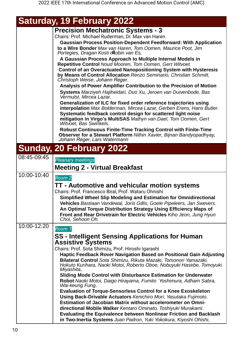| Saturday, 19 February 2022 |
|----------------------------|
|----------------------------|

| <b>Precision Mechatronic Systems - 3</b>                                                              |
|-------------------------------------------------------------------------------------------------------|
| Chairs: Prof. Michael Ruderman, Dr. Max van Haren                                                     |
| <b>Gaussian Process Position-Dependent Feedforward: With Application</b>                              |
| to a Wire Bonder Max van Haren, Tom Oomen, Maurice Poot, Jim<br>Portegies, Dragan Kosti rRobin van Es |
| A Gaussian Process Approach to Multiple Internal Models in                                            |
| Repetitive Control Noud Mooren, Tom Oomen, Gert Witvoet                                               |
| <b>Control of an Overactuated Nanopositioning System with Hysteresis</b>                              |
| by Means of Control Allocation Renzo Seminario, Christian Schmitt,<br>Christoph Weise, Johann Reger_  |
| Analysis of Power Amplifier Contribution to the Precision of Motion                                   |
| Systems Marziyeh Hajiheidari, Duo Xu, Jeroen van Duivenbode, Bas<br>Vermulst, Mircea Lazar            |
| Generalization of ILC for fixed order reference trajectories using                                    |
| interpolation Max Bolderman, Mircea Lazar, Gerben Erens, Hans Butler-                                 |
| Systematic feedback control design for scattered light noise                                          |
| mitigation in Virgo's MultiSAS Mathyn van Dael, Tom Oomen, Gert<br>Witvoet, Bas Swinkels              |
| <b>Robust Continuous Finite-Time Tracking Control with Finite-Time</b>                                |
| Observer for a Stewart Platform Nithin Xavier, Bijnan Bandyopadhyay,<br>Johann Reger, Lars Watermann  |
| Cunday ON Eahruary 2022                                                                               |

### **Sunday, 20 February 2022**

| 08:45-09:45 | <b>Pleanary meetings</b>                                                                                                                                                                                                                                                                                                                                                                                                                                                                                                                                                                                                                                                                    |
|-------------|---------------------------------------------------------------------------------------------------------------------------------------------------------------------------------------------------------------------------------------------------------------------------------------------------------------------------------------------------------------------------------------------------------------------------------------------------------------------------------------------------------------------------------------------------------------------------------------------------------------------------------------------------------------------------------------------|
|             |                                                                                                                                                                                                                                                                                                                                                                                                                                                                                                                                                                                                                                                                                             |
|             | <b>Meeting 2 - Virtual Breakfast</b>                                                                                                                                                                                                                                                                                                                                                                                                                                                                                                                                                                                                                                                        |
| 10:00-10:40 | Room 2                                                                                                                                                                                                                                                                                                                                                                                                                                                                                                                                                                                                                                                                                      |
|             | TT - Automotive and vehicular motion systems<br>Chairs: Prof. Francesco Biral, Prof. Wataru Ohnishi<br>Simplified Wheel Slip Modeling and Estimation for Omnidirectional<br>Vehicles Bastiaan Vandewal, Joris Gillis, Goele Pipeleers, Jan Swevers.<br>An Optimal Torque Distribution Strategy Using Efficiency Maps of<br>Front and Rear Drivetrain for Electric Vehicles Kiho Jeon, Jung Hyun<br>Choi, Sehoon Oh.                                                                                                                                                                                                                                                                         |
| 10:00-12:20 | Room 1<br><b>SS</b> - Intelligent Sensing Applications for Human<br><b>Assistive Systems</b><br>Chairs: Prof. Sota Shimizu, Prof. Hiroshi Igarashi<br>Haptic Feedback Rover Navigation Based on Positional Gain Adjusting<br>Bilateral Control Sota Shimizu, Rikuta Mazaki, Tomonori Yamazaki,<br>Hokuto Kurihara, Naoki Motoi, Roberto Oboe, Nobuyuki Hasebe, Tomoyuki<br>Miyashita_<br>Sliding Mode Control with Disturbance Estimation for Underwater<br>Robot Naoki Motoi, Daigo Hirayama, Fumito Yoshimura, Adham Sabra,<br>Wai-keung Fung<br><b>Evaluation of Torque-Sensorless Control for a Knee Exoskeleton</b><br>Using Back-Drivable Actuators Kenichiro Mori, Yasutaka Fujimoto |
|             | Estimation of Jacobian Matrix without accelerometer on Omni-<br>directional Mobile Walker Kentaro Ominato, Toshiyuki Murakami<br><b>Evaluating the Equivalence between Nonlinear Friction and Backlash</b><br>in Two-Inertia Systems Juan Padron, Yuki Yokokura, Kiyoshi Ohishi,                                                                                                                                                                                                                                                                                                                                                                                                            |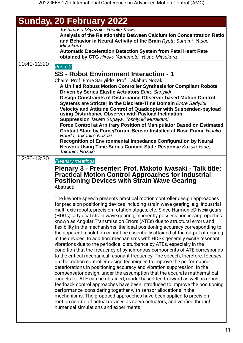| Sunday, 20 February 2022 |  |
|--------------------------|--|

|             | Toshimasa Miyazaki, Yusuke Kawai                                                                                                                                           |
|-------------|----------------------------------------------------------------------------------------------------------------------------------------------------------------------------|
|             | Analysis of the Relationship Between Calcium Ion Concentration Ratio<br>and Behavior in Neural Activity of the Brain Ryota Sunami, Yasue                                   |
|             | Mitsukura<br><b>Automatic Deceleration Detection System from Fetal Heart Rate</b><br>obtained by CTG Hiroko Yamamoto, Yasue Mitsukura                                      |
| 10:40-12:20 | Room 2                                                                                                                                                                     |
|             | SS - Robot Environment Interaction - 1                                                                                                                                     |
|             | Chairs: Prof. Emre Sariyildiz, Prof. Takahiro Nozaki                                                                                                                       |
|             | A Unified Robust Motion Controller Synthesis for Compliant Robots                                                                                                          |
|             | Driven by Series Elastic Actuators Emre Sariyildi                                                                                                                          |
|             | Design Constraints of Disturbance Observer-based Motion Control<br>Systems are Stricter in the Discrete-Time Domain Emre Sariyildi                                         |
|             | Velocity and Attitude Control of Quadcopter with Suspended-payload<br>using Disturbance Observer with Payload Inclination<br>Suppression Taketo Sugaya, Toshiyuki Murakami |
|             | Force Control at Arbitrary Position of Manipulator Based on Estimated                                                                                                      |
|             | <b>Contact State by Force/Torque Sensor Installed at Base Frame Hinako</b>                                                                                                 |
|             | Handa, Takahiro Nozaki<br><b>Recognition of Environmental Impedance Configuration by Neural</b>                                                                            |
|             | Network Using Time-Series Contact State Response Kazuki Yane,<br>Takahiro Nozaki                                                                                           |
| 12:30-13:30 | <b>Pleanary meetings</b>                                                                                                                                                   |
|             | Plenary 3 - Presenter: Prof. Makoto Iwasaki - Talk title:                                                                                                                  |
|             | <b>Practical Motion Control Approaches for Industrial</b>                                                                                                                  |
|             | <b>Positioning Devices with Strain Wave Gearing</b>                                                                                                                        |
|             | Abstract:                                                                                                                                                                  |
|             | The keynote speech presents practical motion controller design approaches                                                                                                  |
|             | for precision positioning devices including strain wave gearing, e.g. industrial                                                                                           |
|             | multi-axis robots, precision rotation stages, etc. Since HarmonicDrive® gears<br>(HDGs), a typical strain wave gearing, inherently possess nonlinear properties            |
|             | known as Angular Transmission Errors (ATEs) due to structural errors and                                                                                                   |
|             | flexibility in the mechanisms, the ideal positioning accuracy corresponding to                                                                                             |
|             | the apparent resolution cannot be essentially attained at the output of gearing<br>in the devices. In addition, mechanisms with HDGs generally excite resonant             |
|             | vibrations due to the periodical disturbance by ATEs, especially in the                                                                                                    |
|             | condition that the frequency of synchronous components of ATE corresponds                                                                                                  |
|             | to the critical mechanical resonant frequency. The speech, therefore, focuses<br>on the motion controller design techniques to improve the performance                     |
|             | deteriorations in positioning accuracy and vibration suppression. In the                                                                                                   |
|             | compensator design, under the assumption that the accurate mathematical                                                                                                    |
|             | models for ATE can be obtained, model-based feedforward as well as robust<br>feedback control approaches have been introduced to improve the positioning                   |
|             | performance, considering together with sensor allocations in the                                                                                                           |
|             | mechanisms. The proposed approaches have been applied to precision                                                                                                         |
|             | motion control of actual devices as servo actuators, and verified through<br>numerical simulations and experiments.                                                        |
|             |                                                                                                                                                                            |
|             |                                                                                                                                                                            |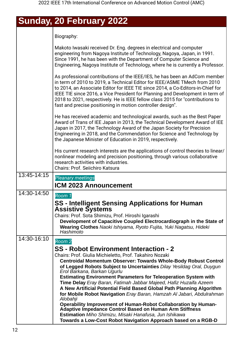## **Sunday, 20 February 2022**

Biography:

|             | Makoto Iwasaki received Dr. Eng. degrees in electrical and computer<br>engineering from Nagoya Institute of Technology, Nagoya, Japan, in 1991.<br>Since 1991, he has been with the Department of Computer Science and<br>Engineering, Nagoya Institute of Technology, where he is currently a Professor.                                                                                                                                                                   |
|-------------|-----------------------------------------------------------------------------------------------------------------------------------------------------------------------------------------------------------------------------------------------------------------------------------------------------------------------------------------------------------------------------------------------------------------------------------------------------------------------------|
|             | As professional contributions of the IEEE/IES, he has been an AdCom member<br>in term of 2010 to 2019, a Technical Editor for IEEE/ASME TMech from 2010<br>to 2014, an Associate Editor for IEEE TIE since 2014, a Co-Editors-in-Chief for<br>IEEE TIE since 2016, a Vice President for Planning and Development in term of<br>2018 to 2021, respectively. He is IEEE fellow class 2015 for "contributions to<br>fast and precise positioning in motion controller design". |
|             | He has received academic and technological awards, such as the Best Paper<br>Award of Trans of IEE Japan in 2013, the Technical Development Award of IEE<br>Japan in 2017, the Technology Award of the Japan Society for Precision<br>Engineering in 2018, and the Commendation for Science and Technology by<br>the Japanese Minister of Education in 2019, respectively.                                                                                                  |
|             | His current research interests are the applications of control theories to linear/<br>nonlinear modeling and precision positioning, through various collaborative<br>research activities with industries.<br>Chairs: Prof. Seiichiro Katsura                                                                                                                                                                                                                                |
| 13:45-14:15 | <b>Pleanary meetings</b><br><b>ICM 2023 Announcement</b>                                                                                                                                                                                                                                                                                                                                                                                                                    |
| 14:30-14:50 | Room 1<br><b>SS - Intelligent Sensing Applications for Human</b>                                                                                                                                                                                                                                                                                                                                                                                                            |
|             | <b>Assistive Systems</b><br>Chairs: Prof. Sota Shimizu, Prof. Hiroshi Igarashi<br>Development of Capacitive Coupled Electrocardiograph in the State of<br>Wearing Clothes Naoki Ishiyama, Ryoto Fujita, Yuki Nagatsu, Hideki<br>Hashimoto                                                                                                                                                                                                                                   |
| 14:30-16:10 | Room 2                                                                                                                                                                                                                                                                                                                                                                                                                                                                      |
|             | SS - Robot Environment Interaction - 2                                                                                                                                                                                                                                                                                                                                                                                                                                      |
|             | Chairs: Prof. Giulia Michieletto, Prof. Takahiro Nozaki                                                                                                                                                                                                                                                                                                                                                                                                                     |
|             | <b>Centroidal Momentum Observer: Towards Whole-Body Robust Control</b>                                                                                                                                                                                                                                                                                                                                                                                                      |
|             | of Legged Robots Subject to Uncertainties Dilay Yesildag Oral, Duygun<br>Erol Barkana, Barkan Ugurlu                                                                                                                                                                                                                                                                                                                                                                        |
|             | <b>Estimating Environment Parameters for Teleoperation System with</b>                                                                                                                                                                                                                                                                                                                                                                                                      |
|             | Time Delay Eray Baran, Fatimah Jabbar Majeed, Hafiz Huzaifa Azeem<br>A New Artificial Potential Field Based Global Path Planning Algorithm                                                                                                                                                                                                                                                                                                                                  |
|             | for Mobile Robot Navigation Eray Baran, Hamzah Al Jabari, Abdulrahman<br>Alobahji                                                                                                                                                                                                                                                                                                                                                                                           |
|             | Operability Improvement of Human-Robot Collaboration by Human-                                                                                                                                                                                                                                                                                                                                                                                                              |
|             | <b>Adaptive Impedance Control Based on Human Arm Stiffness</b><br><b>Estimation</b> Miho Shimizu, Misaki Hanafusa, Jun Ishikawa                                                                                                                                                                                                                                                                                                                                             |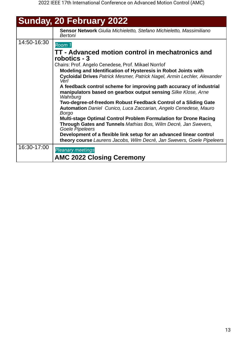|             | <b>Sunday, 20 February 2022</b>                                                                                                                   |
|-------------|---------------------------------------------------------------------------------------------------------------------------------------------------|
|             | Sensor Network Giulia Michieletto, Stefano Michieletto, Massimiliano<br>Bertoni                                                                   |
| 14:50-16:30 | Room 1                                                                                                                                            |
|             | TT - Advanced motion control in mechatronics and<br>robotics - 3                                                                                  |
|             | Chairs: Prof. Angelo Cenedese, Prof. Mikael Norrlof                                                                                               |
|             | Modeling and Identification of Hysteresis in Robot Joints with<br>Cycloidal Drives Patrick Mesmer, Patrick Nagel, Armin Lechler, Alexander        |
|             | Verl                                                                                                                                              |
|             | A feedback control scheme for improving path accuracy of industrial<br>manipulators based on gearbox output sensing Silke Klose, Arne<br>Wahrburg |
|             | Two-degree-of-freedom Robust Feedback Control of a Sliding Gate                                                                                   |
|             | <b>Automation</b> Daniel Cunico, Luca Zaccarian, Angelo Cenedese, Mauro<br><b>Borgo</b>                                                           |
|             | <b>Multi-stage Optimal Control Problem Formulation for Drone Racing</b>                                                                           |
|             | Through Gates and Tunnels Mathias Bos, Wilm Decré, Jan Swevers,<br>Goele Pipeleers                                                                |
|             | Development of a flexible link setup for an advanced linear control                                                                               |
|             | theory course Laurens Jacobs, Wilm Decré, Jan Swevers, Goele Pipeleers                                                                            |
| 16:30-17:00 | <b>Pleanary meetings</b>                                                                                                                          |
|             | <b>AMC 2022 Closing Ceremony</b>                                                                                                                  |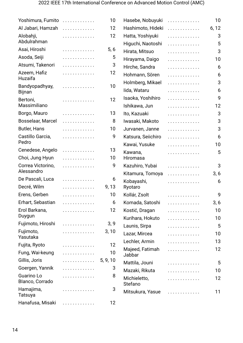| Yoshimura, Fumito               | . | 10       | Hasebe, Nobuyuki        | . | 10    |
|---------------------------------|---|----------|-------------------------|---|-------|
| Al Jabari, Hamzah               | . | 12       | Hashimoto, Hideki       | . | 6, 12 |
| Alobahji,                       | . | 12       | Hatta, Yoshiyuki        | . | 3     |
| Abdulrahman                     |   |          | Higuchi, Naotoshi       | . | 5     |
| Asai, Hiroshi                   | . | 5, 6     | Hirata, Mitsuo          | . | 3     |
| Asoda, Seiji                    | . | 5        | Hirayama, Daigo         | . | 10    |
| Atsumi, Takenori                | . | 3        | Hirche, Sandra          | . | 6     |
| Azeem, Hafiz<br>Huzaifa         | . | 12       | Hohmann, Sören          | . | 6     |
| Bandyopadhyay,                  | . | 10       | Holmberg, Mikael        | . | 3     |
| <b>Bijnan</b>                   |   |          | lida, Wataru            | . | 6     |
| Bertoni,                        | . | 12       | Isaoka, Yoshihiro       | . | 9     |
| Massimiliano                    |   |          | Ishikawa, Jun           | . | 12    |
| Borgo, Mauro                    | . | 13       | Ito, Kazuaki            | . | 3     |
| Bosselaar, Marcel               | . | 8        | Iwasaki, Makoto         | . | 3     |
| <b>Butler, Hans</b>             | . | 10       | Jurvanen, Janne         | . | 3     |
| Castillo Garcia,                | . | 9        | Katsura, Seiichiro      | . | 6     |
| Pedro                           |   |          | Kawai, Yusuke           | . | 10    |
| Cenedese, Angelo                | . | 13       | Kawana,                 | . | 5     |
| Choi, Jung Hyun                 | . | 10       | Hiromasa                |   |       |
| Correa Victorino,<br>Alessandro | . | 9        | Kazuhiro, Yubai         | . | 3     |
| De Pascali, Luca                | . | 6        | Kitamura, Tomoya        | . | 3, 6  |
| Decré, Wilm                     | . | 9, 13    | Kobayashi,<br>Ryotaro   | . | 6     |
| Erens, Gerben                   | . | 10       | Kollár, Zsolt           | . | 9     |
| Erhart, Sebastian               | . | 6        | Komada, Satoshi         | . | 3, 6  |
| Erol Barkana,                   | . | 12       | Kostić, Dragan          | . | 10    |
| Duygun                          |   |          | Kurihara, Hokuto        | . | 10    |
| Fujimoto, Hiroshi               | . | 3, 9     | Launis, Sirpa           | . | 5     |
| Fujimoto,                       | . | 3, 10    | Lazar, Mircea           | . | 10    |
| Yasutaka                        |   |          | Lechler, Armin          | . | 13    |
| Fujita, Ryoto                   | . | 12       | Majeed, Fatimah         | . | 12    |
| Fung, Wai-keung                 | . | 10       | Jabbar                  |   |       |
| Gillis, Joris                   | . | 5, 9, 10 | Mattila, Jouni          | . | 5     |
| Goergen, Yannik                 | . | 3        | Mazaki, Rikuta          | . | 10    |
| Guarino Lo<br>Blanco, Corrado   | . | 8        | Michieletto,<br>Stefano | . | 12    |
| Hamajima,<br>Tatsuya            | . | 3        | Mitsukura, Yasue        | . | 11    |
| Hanafusa, Misaki                | . | 12       |                         |   |       |